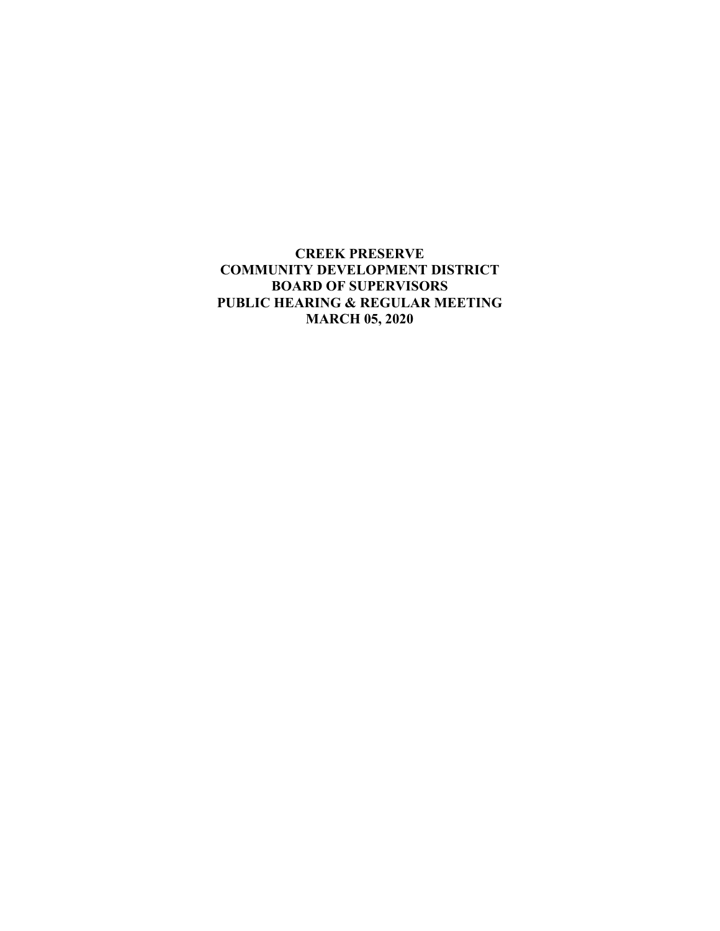**CREEK PRESERVE COMMUNITY DEVELOPMENT DISTRICT BOARD OF SUPERVISORS PUBLIC HEARING & REGULAR MEETING MARCH 05, 2020**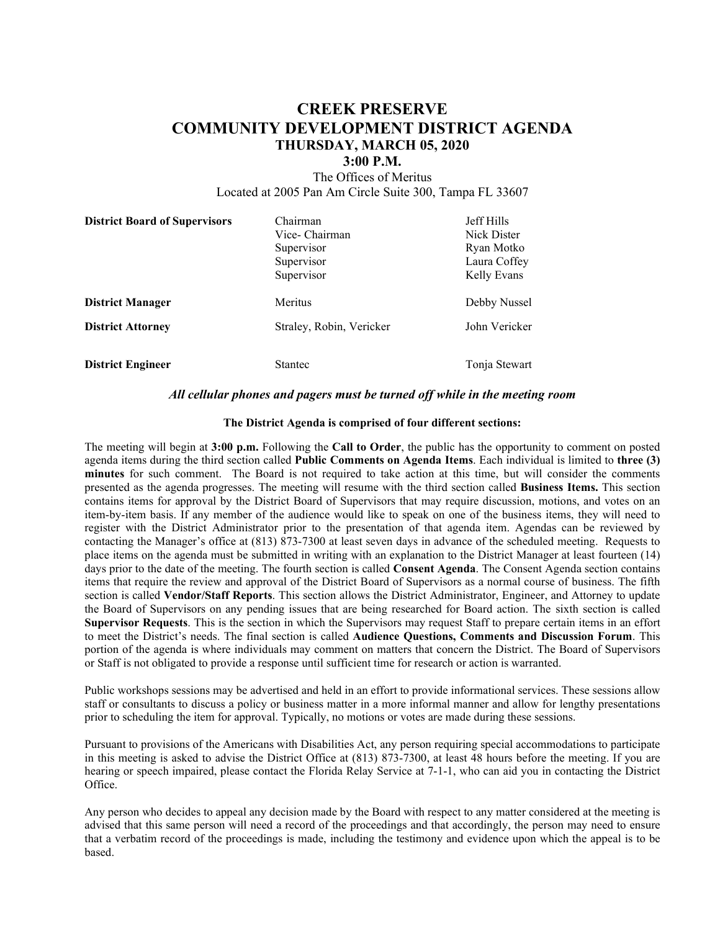# **CREEK PRESERVE COMMUNITY DEVELOPMENT DISTRICT AGENDA THURSDAY, MARCH 05, 2020**

#### **3:00 P.M.**

The Offices of Meritus Located at 2005 Pan Am Circle Suite 300, Tampa FL 33607

| <b>District Board of Supervisors</b> | Chairman                 | <b>Jeff Hills</b> |
|--------------------------------------|--------------------------|-------------------|
|                                      | Vice- Chairman           | Nick Dister       |
|                                      | Supervisor               | Ryan Motko        |
|                                      | Supervisor               | Laura Coffey      |
|                                      | Supervisor               | Kelly Evans       |
| <b>District Manager</b>              | Meritus                  | Debby Nussel      |
| <b>District Attorney</b>             | Straley, Robin, Vericker | John Vericker     |
| <b>District Engineer</b>             | Stantec                  | Tonja Stewart     |

#### *All cellular phones and pagers must be turned off while in the meeting room*

#### **The District Agenda is comprised of four different sections:**

The meeting will begin at **3:00 p.m.** Following the **Call to Order**, the public has the opportunity to comment on posted agenda items during the third section called **Public Comments on Agenda Items**. Each individual is limited to **three (3) minutes** for such comment. The Board is not required to take action at this time, but will consider the comments presented as the agenda progresses. The meeting will resume with the third section called **Business Items.** This section contains items for approval by the District Board of Supervisors that may require discussion, motions, and votes on an item-by-item basis. If any member of the audience would like to speak on one of the business items, they will need to register with the District Administrator prior to the presentation of that agenda item. Agendas can be reviewed by contacting the Manager's office at (813) 873-7300 at least seven days in advance of the scheduled meeting. Requests to place items on the agenda must be submitted in writing with an explanation to the District Manager at least fourteen (14) days prior to the date of the meeting. The fourth section is called **Consent Agenda**. The Consent Agenda section contains items that require the review and approval of the District Board of Supervisors as a normal course of business. The fifth section is called **Vendor/Staff Reports**. This section allows the District Administrator, Engineer, and Attorney to update the Board of Supervisors on any pending issues that are being researched for Board action. The sixth section is called **Supervisor Requests**. This is the section in which the Supervisors may request Staff to prepare certain items in an effort to meet the District's needs. The final section is called **Audience Questions, Comments and Discussion Forum**. This portion of the agenda is where individuals may comment on matters that concern the District. The Board of Supervisors or Staff is not obligated to provide a response until sufficient time for research or action is warranted.

Public workshops sessions may be advertised and held in an effort to provide informational services. These sessions allow staff or consultants to discuss a policy or business matter in a more informal manner and allow for lengthy presentations prior to scheduling the item for approval. Typically, no motions or votes are made during these sessions.

Pursuant to provisions of the Americans with Disabilities Act, any person requiring special accommodations to participate in this meeting is asked to advise the District Office at (813) 873-7300, at least 48 hours before the meeting. If you are hearing or speech impaired, please contact the Florida Relay Service at 7-1-1, who can aid you in contacting the District Office.

Any person who decides to appeal any decision made by the Board with respect to any matter considered at the meeting is advised that this same person will need a record of the proceedings and that accordingly, the person may need to ensure that a verbatim record of the proceedings is made, including the testimony and evidence upon which the appeal is to be based.